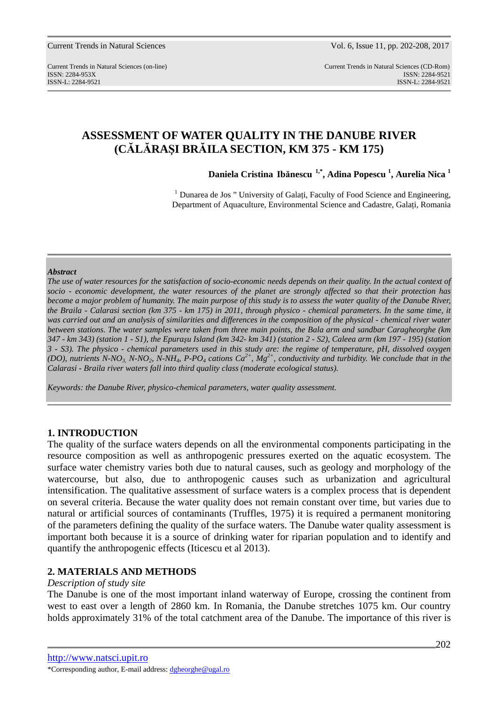Current Trends in Natural Sciences Vol. 6, Issue 11, pp. 202-208, 2017

Current Trends in Natural Sciences (on-line) Current Trends in Natural Sciences (CD-Rom) ISSN: 2284-953XISSN: 2284-9521 ISSN-L: 2284-9521 ISSN-L: 2284-9521

# **ASSESSMENT OF WATER QUALITY IN THE DANUBE RIVER (CĂLĂRAŞI BRĂILA SECTION, KM 375 - KM 175)**

**Daniela Cristina Ibănescu 1,\*, Adina Popescu <sup>1</sup> , Aurelia Nica <sup>1</sup>**

 $<sup>1</sup>$  Dunarea de Jos " University of Galati, Faculty of Food Science and Engineering,</sup> Department of Aquaculture, Environmental Science and Cadastre, Galaţi, Romania

#### *Abstract*

*The use of water resources for the satisfaction of socio-economic needs depends on their quality. In the actual context of socio - economic development, the water resources of the planet are strongly affected so that their protection has become a major problem of humanity. The main purpose of this study is to assess the water quality of the Danube River, the Braila - Calarasi section (km 375 - km 175) in 2011, through physico - chemical parameters. In the same time, it was carried out and an analysis of similarities and differences in the composition of the physical - chemical river water between stations. The water samples were taken from three main points, the Bala arm and sandbar Caragheorghe (km 347 - km 343) (station 1 - S1), the Epuraşu Island (km 342- km 341) (station 2 - S2), Caleea arm (km 197 - 195) (station 3 - S3). The physico - chemical parameters used in this study are: the regime of temperature, pH, dissolved oxygen (DO), nutrients N-NO<sub>3</sub>, N-NO<sub>2</sub>, N-NH<sub>4</sub>, P-PO<sub>4</sub> cations*  $Ca^{2+}$ *,*  $Mg^{2+}$ *, conductivity and turbidity. We conclude that in the Calarasi - Braila river waters fall into third quality class (moderate ecological status).* 

*Keywords: the Danube River, physico-chemical parameters, water quality assessment.* 

## **1. INTRODUCTION**

The quality of the surface waters depends on all the environmental components participating in the resource composition as well as anthropogenic pressures exerted on the aquatic ecosystem. The surface water chemistry varies both due to natural causes, such as geology and morphology of the watercourse, but also, due to anthropogenic causes such as urbanization and agricultural intensification. The qualitative assessment of surface waters is a complex process that is dependent on several criteria. Because the water quality does not remain constant over time, but varies due to natural or artificial sources of contaminants (Truffles, 1975) it is required a permanent monitoring of the parameters defining the quality of the surface waters. The Danube water quality assessment is important both because it is a source of drinking water for riparian population and to identify and quantify the anthropogenic effects (Iticescu et al 2013).

## **2. MATERIALS AND METHODS**

#### *Description of study site*

The Danube is one of the most important inland waterway of Europe, crossing the continent from west to east over a length of 2860 km. In Romania, the Danube stretches 1075 km. Our country holds approximately 31% of the total catchment area of the Danube. The importance of this river is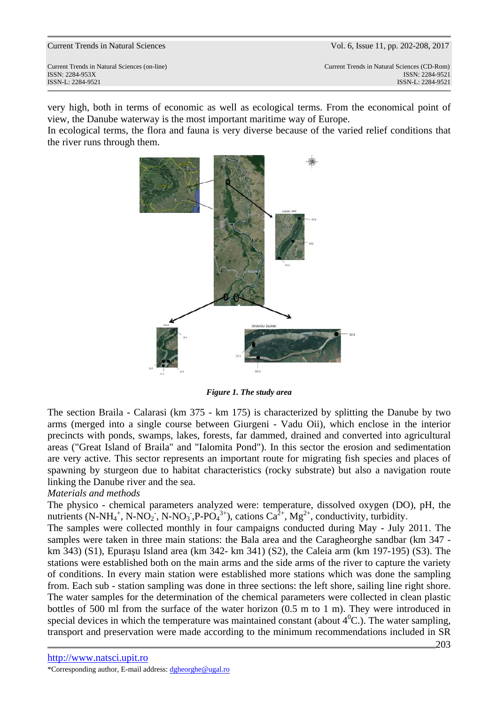very high, both in terms of economic as well as ecological terms. From the economical point of view, the Danube waterway is the most important maritime way of Europe.

In ecological terms, the flora and fauna is very diverse because of the varied relief conditions that the river runs through them.



*Figure 1. The study area* 

The section Braila - Calarasi (km 375 - km 175) is characterized by splitting the Danube by two arms (merged into a single course between Giurgeni - Vadu Oii), which enclose in the interior precincts with ponds, swamps, lakes, forests, far dammed, drained and converted into agricultural areas ("Great Island of Braila" and "Ialomita Pond"). In this sector the erosion and sedimentation are very active. This sector represents an important route for migrating fish species and places of spawning by sturgeon due to habitat characteristics (rocky substrate) but also a navigation route linking the Danube river and the sea.

## *Materials and methods*

The physico - chemical parameters analyzed were: temperature, dissolved oxygen (DO), pH, the nutrients (N-NH<sub>4</sub><sup>+</sup>, N-NO<sub>2</sub><sup>-</sup>, N-NO<sub>3</sub><sup>-</sup>, P-PO<sub>4</sub><sup>3+</sup>), cations Ca<sup>2+</sup>, Mg<sup>2+</sup>, conductivity, turbidity.

The samples were collected monthly in four campaigns conducted during May - July 2011. The samples were taken in three main stations: the Bala area and the Caragheorghe sandbar (km 347 km 343) (S1), Epuraşu Island area (km 342- km 341) (S2), the Caleia arm (km 197-195) (S3). The stations were established both on the main arms and the side arms of the river to capture the variety of conditions. In every main station were established more stations which was done the sampling from. Each sub - station sampling was done in three sections: the left shore, sailing line right shore. The water samples for the determination of the chemical parameters were collected in clean plastic bottles of 500 ml from the surface of the water horizon (0.5 m to 1 m). They were introduced in special devices in which the temperature was maintained constant (about  $4^0C$ .). The water sampling, transport and preservation were made according to the minimum recommendations included in SR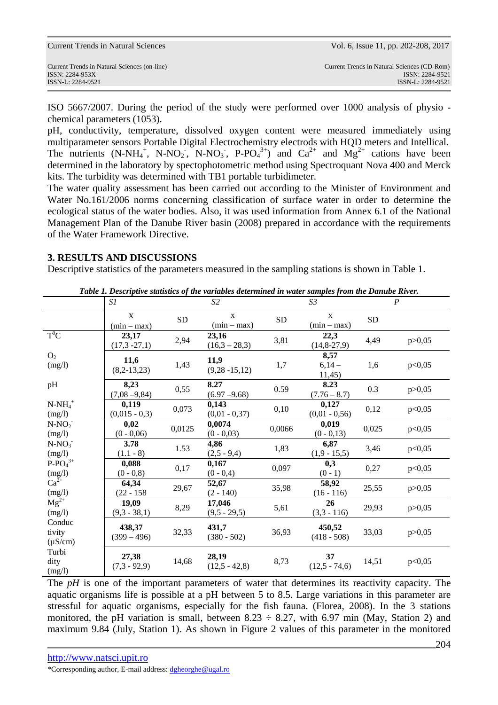| <b>Current Trends in Natural Sciences</b>    | Vol. 6, Issue 11, pp. 202-208, 2017         |  |  |
|----------------------------------------------|---------------------------------------------|--|--|
| Current Trends in Natural Sciences (on-line) | Current Trends in Natural Sciences (CD-Rom) |  |  |
| $ISSN: 2284-953X$                            | ISSN: 2284-9521                             |  |  |
| ISSN-L: 2284-9521                            | ISSN-L: 2284-9521                           |  |  |

ISO 5667/2007. During the period of the study were performed over 1000 analysis of physio chemical parameters (1053).

pH, conductivity, temperature, dissolved oxygen content were measured immediately using multiparameter sensors Portable Digital Electrochemistry electrods with HQD meters and Intellical. The nutrients  $(N-NH_4^+$ ,  $N-NO_2$ ,  $N-NO_3$ ,  $P-PO_4^{3+}$  and  $Ca^{2+}$  and  $Mg^{2+}$  cations have been determined in the laboratory by spectophotometric method using Spectroquant Nova 400 and Merck kits. The turbidity was determined with TB1 portable turbidimeter.

The water quality assessment has been carried out according to the Minister of Environment and Water No.161/2006 norms concerning classification of surface water in order to determine the ecological status of the water bodies. Also, it was used information from Annex 6.1 of the National Management Plan of the Danube River basin (2008) prepared in accordance with the requirements of the Water Framework Directive.

## **3. RESULTS AND DISCUSSIONS**

Descriptive statistics of the parameters measured in the sampling stations is shown in Table 1.

| Table 1. Descriptive statistics of the variables determined in water samples from the Danube River. |                               |           |                               |        |                               |       |                  |
|-----------------------------------------------------------------------------------------------------|-------------------------------|-----------|-------------------------------|--------|-------------------------------|-------|------------------|
|                                                                                                     | S1                            | S2        |                               |        | S <sub>3</sub>                |       | $\boldsymbol{P}$ |
|                                                                                                     | $\mathbf{X}$<br>$(min - max)$ | <b>SD</b> | $\mathbf{X}$<br>$(min - max)$ | SD     | $\mathbf{X}$<br>$(min - max)$ | SD    |                  |
| $T^0C$                                                                                              | 23,17<br>$(17,3 -27,1)$       | 2,94      | 23,16<br>$(16,3 - 28,3)$      | 3,81   | 22,3<br>$(14, 8-27, 9)$       | 4,49  | p > 0,05         |
| O <sub>2</sub><br>(mg/l)                                                                            | 11,6<br>$(8,2-13,23)$         | 1,43      | 11,9<br>$(9,28 - 15,12)$      | 1,7    | 8,57<br>$6,14-$<br>11,45      | 1,6   | p<0,05           |
| pH                                                                                                  | 8,23<br>$(7,08 - 9,84)$       | 0,55      | 8.27<br>$(6.97 - 9.68)$       | 0.59   | 8.23<br>$(7.76 - 8.7)$        | 0.3   | p > 0,05         |
| $N-NH_4^+$<br>(mg/l)                                                                                | 0,119<br>$(0,015 - 0,3)$      | 0,073     | 0,143<br>$(0,01 - 0,37)$      | 0,10   | 0,127<br>$(0,01 - 0,56)$      | 0,12  | p<0,05           |
| $N-NO2$<br>(mg/l)                                                                                   | 0,02<br>$(0 - 0.06)$          | 0,0125    | 0,0074<br>$(0 - 0.03)$        | 0,0066 | 0,019<br>$(0 - 0.13)$         | 0,025 | p<0,05           |
| $N-NO_3$<br>(mg/l)                                                                                  | 3.78<br>$(1.1 - 8)$           | 1.53      | 4,86<br>$(2,5 - 9,4)$         | 1,83   | 6,87<br>$(1,9 - 15,5)$        | 3,46  | p<0,05           |
| $P-PO43+$<br>$(mg/l)$<br>Ca <sup>2+</sup>                                                           | 0,088<br>$(0 - 0.8)$          | 0,17      | 0,167<br>$(0 - 0, 4)$         | 0,097  | 0,3<br>$(0 - 1)$              | 0,27  | p<0,05           |
| (mg/l)                                                                                              | 64,34<br>$(22 - 158)$         | 29,67     | 52,67<br>$(2 - 140)$          | 35,98  | 58,92<br>$(16 - 116)$         | 25,55 | p > 0,05         |
| $Mg^{2+}$<br>(mg/l)                                                                                 | 19,09<br>$(9,3 - 38,1)$       | 8,29      | 17,046<br>$(9,5 - 29,5)$      | 5,61   | 26<br>$(3,3 - 116)$           | 29,93 | p > 0,05         |
| Conduc<br>tivity<br>$(\mu S/cm)$                                                                    | 438,37<br>$(399 - 496)$       | 32,33     | 431,7<br>$(380 - 502)$        | 36,93  | 450,52<br>$(418 - 508)$       | 33,03 | p > 0,05         |
| Turbi<br>dity<br>(mg/l)                                                                             | 27,38<br>$(7,3 - 92,9)$       | 14,68     | 28,19<br>$(12,5 - 42,8)$      | 8,73   | 37<br>$(12,5 - 74,6)$         | 14,51 | p<0,05           |

The *pH* is one of the important parameters of water that determines its reactivity capacity. The aquatic organisms life is possible at a pH between 5 to 8.5. Large variations in this parameter are stressful for aquatic organisms, especially for the fish fauna. (Florea, 2008). In the 3 stations monitored, the pH variation is small, between  $8.23 \div 8.27$ , with 6.97 min (May, Station 2) and maximum 9.84 (July, Station 1). As shown in Figure 2 values of this parameter in the monitored

\*Corresponding author, E-mail address: dgheorghe@ugal.ro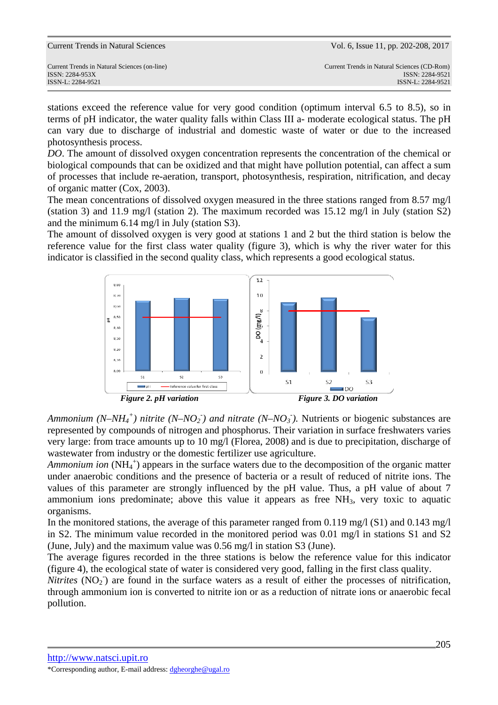| <b>Current Trends in Natural Sciences</b> |  |  |  |
|-------------------------------------------|--|--|--|
|-------------------------------------------|--|--|--|

stations exceed the reference value for very good condition (optimum interval 6.5 to 8.5), so in terms of pH indicator, the water quality falls within Class III a- moderate ecological status. The pH can vary due to discharge of industrial and domestic waste of water or due to the increased photosynthesis process.

*DO*. The amount of dissolved oxygen concentration represents the concentration of the chemical or biological compounds that can be oxidized and that might have pollution potential, can affect a sum of processes that include re-aeration, transport, photosynthesis, respiration, nitrification, and decay of organic matter (Cox, 2003).

The mean concentrations of dissolved oxygen measured in the three stations ranged from 8.57 mg/l (station 3) and 11.9 mg/l (station 2). The maximum recorded was  $15.12 \text{ mg/l}$  in July (station S2) and the minimum 6.14 mg/l in July (station S3).

The amount of dissolved oxygen is very good at stations 1 and 2 but the third station is below the reference value for the first class water quality (figure 3), which is why the river water for this indicator is classified in the second quality class, which represents a good ecological status.



*Ammonium (N–NH<sub>4</sub><sup>+</sup>) nitrite (N–NO<sub>2</sub><sup>-</sup>) and nitrate (N–NO<sub>3</sub><sup>-</sup>). Nutrients or biogenic substances are* represented by compounds of nitrogen and phosphorus. Their variation in surface freshwaters varies very large: from trace amounts up to 10 mg/l (Florea, 2008) and is due to precipitation, discharge of wastewater from industry or the domestic fertilizer use agriculture.

Ammonium ion (NH<sub>4</sub><sup>+</sup>) appears in the surface waters due to the decomposition of the organic matter under anaerobic conditions and the presence of bacteria or a result of reduced of nitrite ions. The values of this parameter are strongly influenced by the pH value. Thus, a pH value of about 7 ammonium ions predominate; above this value it appears as free  $NH<sub>3</sub>$ , very toxic to aquatic organisms.

In the monitored stations, the average of this parameter ranged from 0.119 mg/l (S1) and 0.143 mg/l in S2. The minimum value recorded in the monitored period was 0.01 mg/l in stations S1 and S2 (June, July) and the maximum value was 0.56 mg/l in station S3 (June).

The average figures recorded in the three stations is below the reference value for this indicator (figure 4), the ecological state of water is considered very good, falling in the first class quality.

*Nitrites* (NO<sub>2</sub>) are found in the surface waters as a result of either the processes of nitrification, through ammonium ion is converted to nitrite ion or as a reduction of nitrate ions or anaerobic fecal pollution.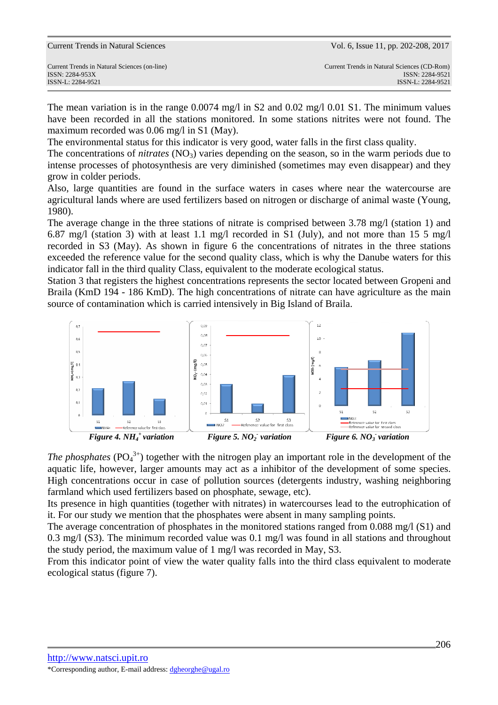| <b>Current Trends in Natural Sciences</b> |  |  |  |
|-------------------------------------------|--|--|--|
|-------------------------------------------|--|--|--|

The mean variation is in the range  $0.0074$  mg/l in S2 and  $0.02$  mg/l  $0.01$  S1. The minimum values have been recorded in all the stations monitored. In some stations nitrites were not found. The maximum recorded was 0.06 mg/l in S1 (May).

The environmental status for this indicator is very good, water falls in the first class quality.

The concentrations of *nitrates* (NO<sub>3</sub>) varies depending on the season, so in the warm periods due to intense processes of photosynthesis are very diminished (sometimes may even disappear) and they grow in colder periods.

Also, large quantities are found in the surface waters in cases where near the watercourse are agricultural lands where are used fertilizers based on nitrogen or discharge of animal waste (Young, 1980).

The average change in the three stations of nitrate is comprised between 3.78 mg/l (station 1) and 6.87 mg/l (station 3) with at least 1.1 mg/l recorded in S1 (July), and not more than 15 5 mg/l recorded in S3 (May). As shown in figure 6 the concentrations of nitrates in the three stations exceeded the reference value for the second quality class, which is why the Danube waters for this indicator fall in the third quality Class, equivalent to the moderate ecological status.

Station 3 that registers the highest concentrations represents the sector located between Gropeni and Braila (KmD 194 - 186 KmD). The high concentrations of nitrate can have agriculture as the main source of contamination which is carried intensively in Big Island of Braila.



*The phosphates* ( $PO<sub>4</sub><sup>3+</sup>$ ) together with the nitrogen play an important role in the development of the aquatic life, however, larger amounts may act as a inhibitor of the development of some species. High concentrations occur in case of pollution sources (detergents industry, washing neighboring farmland which used fertilizers based on phosphate, sewage, etc).

Its presence in high quantities (together with nitrates) in watercourses lead to the eutrophication of it. For our study we mention that the phosphates were absent in many sampling points.

The average concentration of phosphates in the monitored stations ranged from  $0.088$  mg/l (S1) and 0.3 mg/l (S3). The minimum recorded value was 0.1 mg/l was found in all stations and throughout the study period, the maximum value of 1 mg/l was recorded in May, S3.

From this indicator point of view the water quality falls into the third class equivalent to moderate ecological status (figure 7).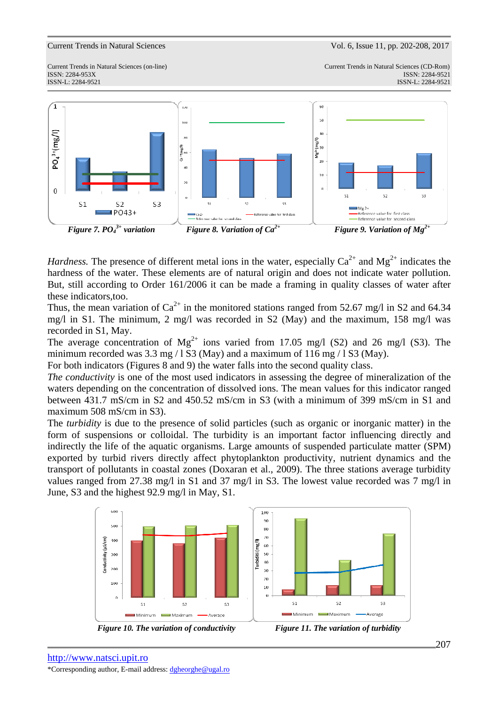Current Trends in Natural Sciences Vol. 6, Issue 11, pp. 202-208, 2017

ISSN-L: 2284-9521 ISSN-L: 2284-9521

Current Trends in Natural Sciences (on-line) Current Trends in Natural Sciences (CD-Rom) ISSN: 2284-953XISSN: 2284-9521



*Hardness.* The presence of different metal ions in the water, especially  $Ca^{2+}$  and  $Mg^{2+}$  indicates the hardness of the water. These elements are of natural origin and does not indicate water pollution. But, still according to Order 161/2006 it can be made a framing in quality classes of water after these indicators,too.

Thus, the mean variation of  $Ca^{2+}$  in the monitored stations ranged from 52.67 mg/l in S2 and 64.34 mg/l in S1. The minimum, 2 mg/l was recorded in S2 (May) and the maximum, 158 mg/l was recorded in S1, May.

The average concentration of  $Mg^{2+}$  ions varied from 17.05 mg/l (S2) and 26 mg/l (S3). The minimum recorded was  $3.3 \text{ mg} / 1 \text{ S}3$  (May) and a maximum of  $116 \text{ mg} / 1 \text{ S}3$  (May).

For both indicators (Figures 8 and 9) the water falls into the second quality class.

*The conductivity* is one of the most used indicators in assessing the degree of mineralization of the waters depending on the concentration of dissolved ions. The mean values for this indicator ranged between 431.7 mS/cm in S2 and 450.52 mS/cm in S3 (with a minimum of 399 mS/cm in S1 and maximum 508 mS/cm in S3).

The *turbidity* is due to the presence of solid particles (such as organic or inorganic matter) in the form of suspensions or colloidal. The turbidity is an important factor influencing directly and indirectly the life of the aquatic organisms. Large amounts of suspended particulate matter (SPM) exported by turbid rivers directly affect phytoplankton productivity, nutrient dynamics and the transport of pollutants in coastal zones (Doxaran et al., 2009). The three stations average turbidity values ranged from 27.38 mg/l in S1 and 37 mg/l in S3. The lowest value recorded was 7 mg/l in June, S3 and the highest 92.9 mg/l in May, S1.





*Figure 10. The variation of conductivity Figure 11. The variation of turbidity*